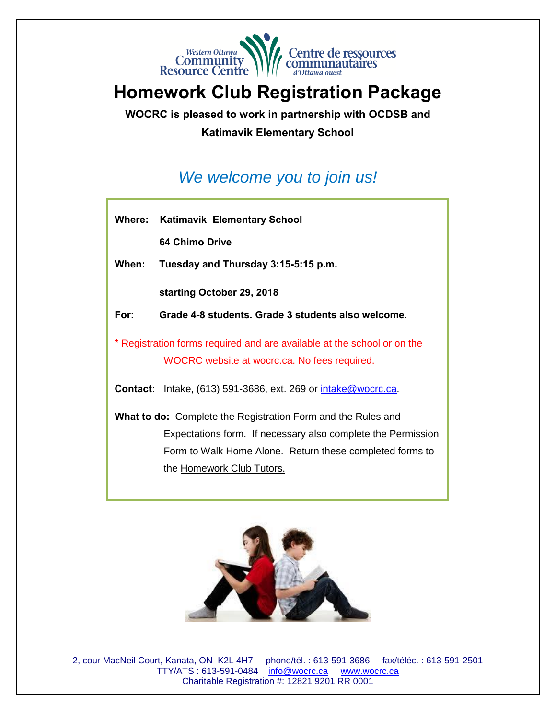

# **Homework Club Registration Package**

**WOCRC is pleased to work in partnership with OCDSB and**

#### **Katimavik Elementary School**

# *We welcome you to join us!*

**Where: Katimavik Elementary School**

 **64 Chimo Drive**

**When: Tuesday and Thursday 3:15-5:15 p.m.**

 **starting October 29, 2018** 

**For: Grade 4-8 students. Grade 3 students also welcome.**

**\*** Registration forms required and are available at the school or on the WOCRC website at wocrc.ca. No fees required.

**Contact:** Intake, (613) 591-3686, ext. 269 or [intake@wocrc.ca.](mailto:intake@wocrc.ca)

**What to do:** Complete the Registration Form and the Rules and Expectations form. If necessary also complete the Permission Form to Walk Home Alone. Return these completed forms to the Homework Club Tutors.



2, cour MacNeil Court, Kanata, ON K2L 4H7 phone/tél. : 613-591-3686 fax/téléc. : 613-591-2501 TTY/ATS: 613-591-0484 [info@wocrc.ca](mailto:info@wocrc.ca) www.wocrc.ca Charitable Registration #: 12821 9201 RR 0001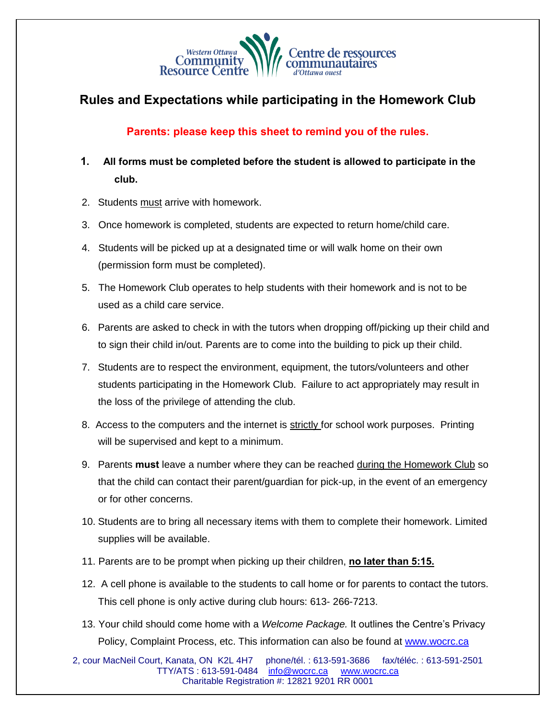

### **Rules and Expectations while participating in the Homework Club**

#### **Parents: please keep this sheet to remind you of the rules.**

- **1. All forms must be completed before the student is allowed to participate in the club.**
- 2. Students must arrive with homework.
- 3. Once homework is completed, students are expected to return home/child care.
- 4. Students will be picked up at a designated time or will walk home on their own (permission form must be completed).
- 5. The Homework Club operates to help students with their homework and is not to be used as a child care service.
- 6. Parents are asked to check in with the tutors when dropping off/picking up their child and to sign their child in/out. Parents are to come into the building to pick up their child.
- 7. Students are to respect the environment, equipment, the tutors/volunteers and other students participating in the Homework Club. Failure to act appropriately may result in the loss of the privilege of attending the club.
- 8. Access to the computers and the internet is strictly for school work purposes. Printing will be supervised and kept to a minimum.
- 9. Parents **must** leave a number where they can be reached during the Homework Club so that the child can contact their parent/guardian for pick-up, in the event of an emergency or for other concerns.
- 10. Students are to bring all necessary items with them to complete their homework. Limited supplies will be available.
- 11. Parents are to be prompt when picking up their children, **no later than 5:15.**
- 12. A cell phone is available to the students to call home or for parents to contact the tutors. This cell phone is only active during club hours: 613- 266-7213.
- 13. Your child should come home with a *Welcome Package.* It outlines the Centre's Privacy Policy, Complaint Process, etc. This information can also be found at [www.wocrc.ca](http://www.wocrc.ca/)

2, cour MacNeil Court, Kanata, ON K2L 4H7 phone/tél. : 613-591-3686 fax/téléc. : 613-591-2501 TTY/ATS : 613-591-0484 [info@wocrc.ca](mailto:info@wocrc.ca) [www.wocrc.ca](http://www.wocrc.ca/)  Charitable Registration #: 12821 9201 RR 0001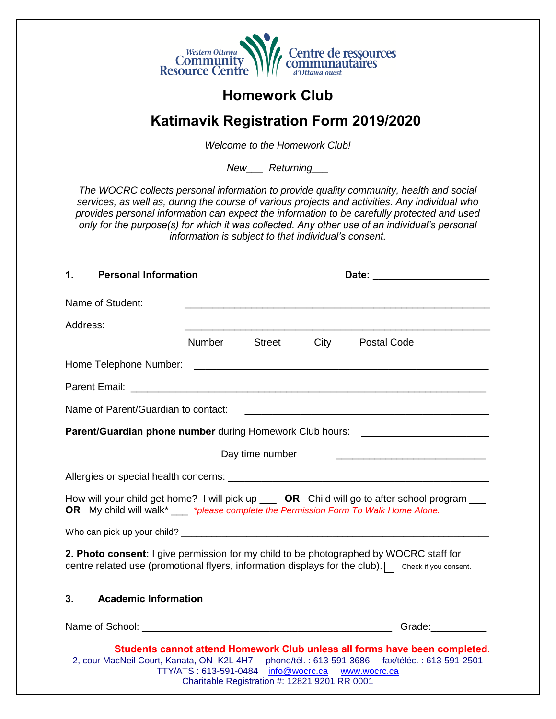

## **Homework Club**

### **Katimavik Registration Form 2019/2020**

*Welcome to the Homework Club!*

*New\_\_\_ Returning\_\_\_*

*The WOCRC collects personal information to provide quality community, health and social services, as well as, during the course of various projects and activities. Any individual who provides personal information can expect the information to be carefully protected and used only for the purpose(s) for which it was collected. Any other use of an individual's personal information is subject to that individual's consent.*

| 1.       | <b>Personal Information</b> |        |                                                  |                                                                                                                                                                                                |
|----------|-----------------------------|--------|--------------------------------------------------|------------------------------------------------------------------------------------------------------------------------------------------------------------------------------------------------|
|          | Name of Student:            |        |                                                  | <u> 1989 - Johann Stoff, amerikansk politiker (d. 1989)</u>                                                                                                                                    |
| Address: |                             |        |                                                  |                                                                                                                                                                                                |
|          |                             | Number | <b>Street</b>                                    | City Postal Code                                                                                                                                                                               |
|          |                             |        |                                                  |                                                                                                                                                                                                |
|          |                             |        |                                                  |                                                                                                                                                                                                |
|          |                             |        |                                                  |                                                                                                                                                                                                |
|          |                             |        |                                                  | Parent/Guardian phone number during Homework Club hours: _______________________                                                                                                               |
|          |                             |        | Day time number                                  |                                                                                                                                                                                                |
|          |                             |        |                                                  |                                                                                                                                                                                                |
|          |                             |        |                                                  | How will your child get home? I will pick up ___ OR Child will go to after school program __<br>OR My child will walk* ___ *please complete the Permission Form To Walk Home Alone.            |
|          |                             |        |                                                  |                                                                                                                                                                                                |
|          |                             |        |                                                  | 2. Photo consent: I give permission for my child to be photographed by WOCRC staff for<br>centre related use (promotional flyers, information displays for the club). In check if you consent. |
| 3.       | <b>Academic Information</b> |        |                                                  |                                                                                                                                                                                                |
|          |                             |        |                                                  | Grade: Carrier Contractor                                                                                                                                                                      |
|          |                             |        | TTY/ATS: 613-591-0484 info@wocrc.ca www.wocrc.ca | Students cannot attend Homework Club unless all forms have been completed.<br>2, cour MacNeil Court, Kanata, ON K2L 4H7 phone/tél.: 613-591-3686 fax/téléc.: 613-591-2501                      |

Charitable Registration #: 12821 9201 RR 0001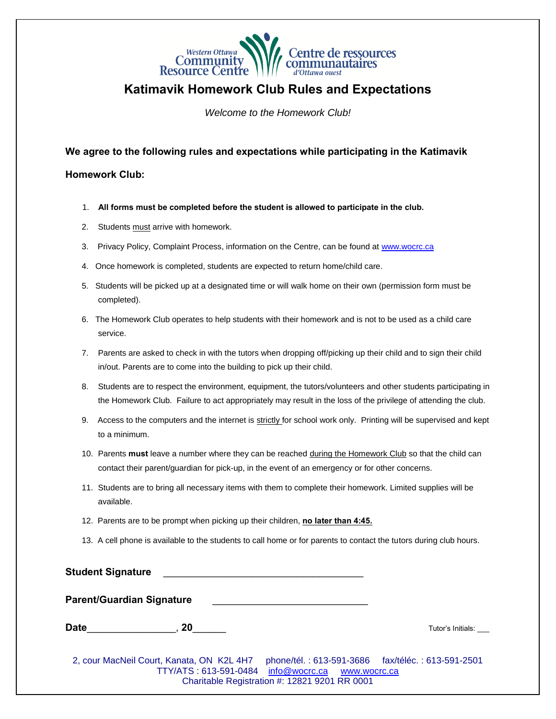

**Katimavik Homework Club Rules and Expectations**

*Welcome to the Homework Club!*

**We agree to the following rules and expectations while participating in the Katimavik** 

**Homework Club:** 

- 1. **All forms must be completed before the student is allowed to participate in the club.**
- 2. Students must arrive with homework.
- 3. Privacy Policy, Complaint Process, information on the Centre, can be found at [www.wocrc.ca](http://www.wocrc.ca/)
- 4. Once homework is completed, students are expected to return home/child care.
- 5. Students will be picked up at a designated time or will walk home on their own (permission form must be completed).
- 6. The Homework Club operates to help students with their homework and is not to be used as a child care service.
- 7. Parents are asked to check in with the tutors when dropping off/picking up their child and to sign their child in/out. Parents are to come into the building to pick up their child.
- 8. Students are to respect the environment, equipment, the tutors/volunteers and other students participating in the Homework Club. Failure to act appropriately may result in the loss of the privilege of attending the club.
- 9. Access to the computers and the internet is strictly for school work only. Printing will be supervised and kept to a minimum.
- 10. Parents **must** leave a number where they can be reached during the Homework Club so that the child can contact their parent/guardian for pick-up, in the event of an emergency or for other concerns.
- 11. Students are to bring all necessary items with them to complete their homework. Limited supplies will be available.
- 12. Parents are to be prompt when picking up their children, **no later than 4:45.**
- 13. A cell phone is available to the students to call home or for parents to contact the tutors during club hours.

**Student Signature** \_\_\_\_\_\_\_\_\_\_\_\_\_\_\_\_\_\_\_\_\_\_\_\_\_\_\_\_\_\_\_\_\_\_\_\_

**Parent/Guardian Signature** 

**Date Contract Contract Contract Contract Contract Contract Contract Contract Contract Contract Contract Contract Contract Contract Contract Contract Contract Contract Contract Contract Contract Contract Contract Contrac** 

2, cour MacNeil Court, Kanata, ON K2L 4H7 phone/tél. : 613-591-3686 fax/téléc. : 613-591-2501 TTY/ATS: 613-591-0484 [info@wocrc.ca](mailto:info@wocrc.ca) www.wocrc.ca Charitable Registration #: 12821 9201 RR 0001